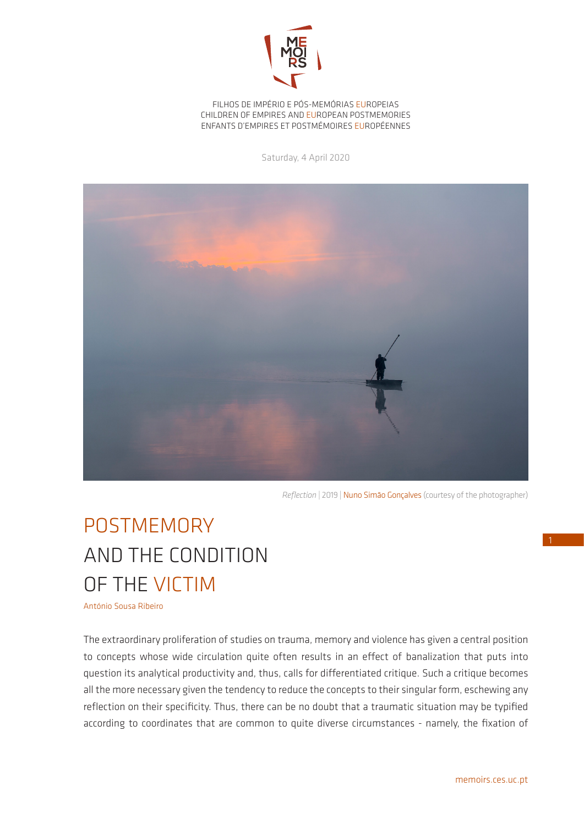

FILHOS DE IMPÉRIO E PÓS-MEMÓRIAS EUROPEIAS CHILDREN OF EMPIRES AND EUROPEAN POSTMEMORIES ENFANTS D'EMPIRES ET POSTMÉMOIRES EUROPÉENNES

Saturday, 4 April 2020



*Reflection* | 2019 | Nuno Simão Gonçalves (courtesy of the photographer)

## POSTMEMORY AND THE CONDITION OF THE VICTIM

António Sousa Ribeiro

The extraordinary proliferation of studies on trauma, memory and violence has given a central position to concepts whose wide circulation quite often results in an effect of banalization that puts into question its analytical productivity and, thus, calls for differentiated critique. Such a critique becomes all the more necessary given the tendency to reduce the concepts to their singular form, eschewing any reflection on their specificity. Thus, there can be no doubt that a traumatic situation may be typified according to coordinates that are common to quite diverse circumstances - namely, the fixation of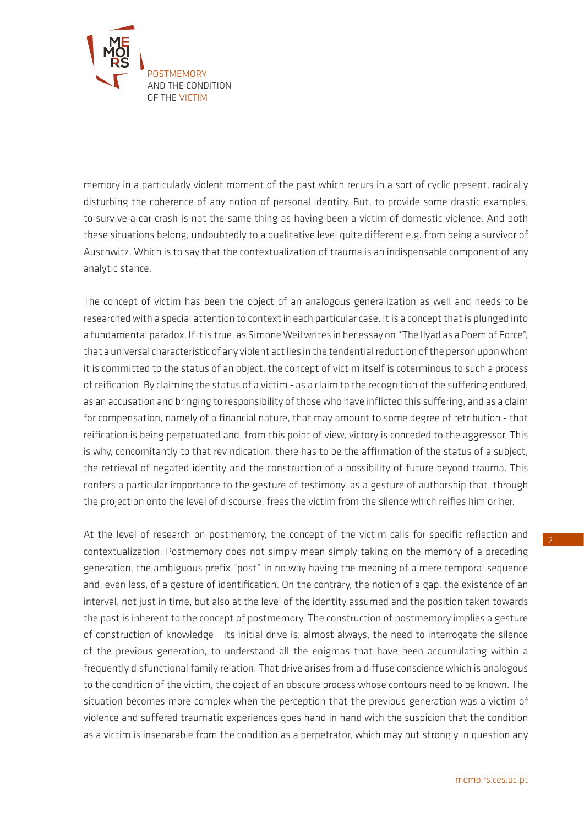

memory in a particularly violent moment of the past which recurs in a sort of cyclic present, radically disturbing the coherence of any notion of personal identity. But, to provide some drastic examples, to survive a car crash is not the same thing as having been a victim of domestic violence. And both these situations belong, undoubtedly to a qualitative level quite different e.g. from being a survivor of Auschwitz. Which is to say that the contextualization of trauma is an indispensable component of any analytic stance.

The concept of victim has been the object of an analogous generalization as well and needs to be researched with a special attention to context in each particular case. It is a concept that is plunged into a fundamental paradox. If it is true, as Simone Weil writes in her essay on "The Ilyad as a Poem of Force", that a universal characteristic of any violent act lies in the tendential reduction of the person upon whom it is committed to the status of an object, the concept of victim itself is coterminous to such a process of reification. By claiming the status of a victim - as a claim to the recognition of the suffering endured, as an accusation and bringing to responsibility of those who have inflicted this suffering, and as a claim for compensation, namely of a financial nature, that may amount to some degree of retribution - that reification is being perpetuated and, from this point of view, victory is conceded to the aggressor. This is why, concomitantly to that revindication, there has to be the affirmation of the status of a subject, the retrieval of negated identity and the construction of a possibility of future beyond trauma. This confers a particular importance to the gesture of testimony, as a gesture of authorship that, through the projection onto the level of discourse, frees the victim from the silence which reifies him or her.

At the level of research on postmemory, the concept of the victim calls for specific reflection and contextualization. Postmemory does not simply mean simply taking on the memory of a preceding generation, the ambiguous prefix "post" in no way having the meaning of a mere temporal sequence and, even less, of a gesture of identification. On the contrary, the notion of a gap, the existence of an interval, not just in time, but also at the level of the identity assumed and the position taken towards the past is inherent to the concept of postmemory. The construction of postmemory implies a gesture of construction of knowledge - its initial drive is, almost always, the need to interrogate the silence of the previous generation, to understand all the enigmas that have been accumulating within a frequently disfunctional family relation. That drive arises from a diffuse conscience which is analogous to the condition of the victim, the object of an obscure process whose contours need to be known. The situation becomes more complex when the perception that the previous generation was a victim of violence and suffered traumatic experiences goes hand in hand with the suspicion that the condition as a victim is inseparable from the condition as a perpetrator, which may put strongly in question any